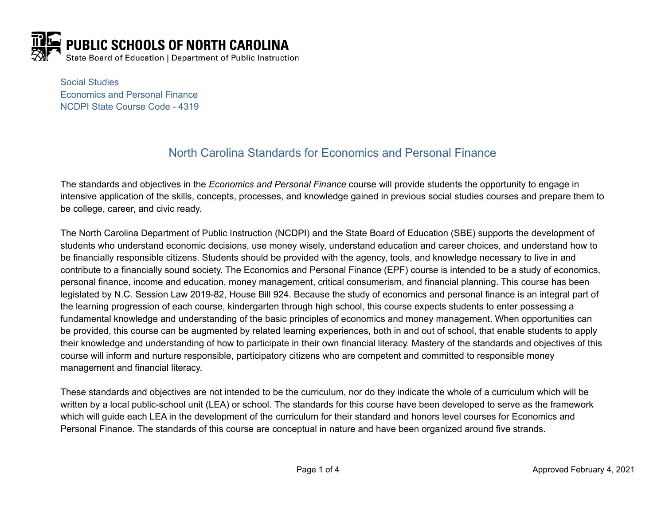

Social Studies Economics and Personal Finance NCDPI State Course Code - 4319

# North Carolina Standards for Economics and Personal Finance

The standards and objectives in the *Economics and Personal Finance* course will provide students the opportunity to engage in intensive application of the skills, concepts, processes, and knowledge gained in previous social studies courses and prepare them to be college, career, and civic ready.

The North Carolina Department of Public Instruction (NCDPI) and the State Board of Education (SBE) supports the development of students who understand economic decisions, use money wisely, understand education and career choices, and understand how to be financially responsible citizens. Students should be provided with the agency, tools, and knowledge necessary to live in and contribute to a financially sound society. The Economics and Personal Finance (EPF) course is intended to be a study of economics, personal finance, income and education, money management, critical consumerism, and financial planning. This course has been legislated by N.C. Session Law 2019-82, House Bill 924. Because the study of economics and personal finance is an integral part of the learning progression of each course, kindergarten through high school, this course expects students to enter possessing a fundamental knowledge and understanding of the basic principles of economics and money management. When opportunities can be provided, this course can be augmented by related learning experiences, both in and out of school, that enable students to apply their knowledge and understanding of how to participate in their own financial literacy. Mastery of the standards and objectives of this course will inform and nurture responsible, participatory citizens who are competent and committed to responsible money management and financial literacy.

These standards and objectives are not intended to be the curriculum, nor do they indicate the whole of a curriculum which will be written by a local public-school unit (LEA) or school. The standards for this course have been developed to serve as the framework which will guide each LEA in the development of the curriculum for their standard and honors level courses for Economics and Personal Finance. The standards of this course are conceptual in nature and have been organized around five strands.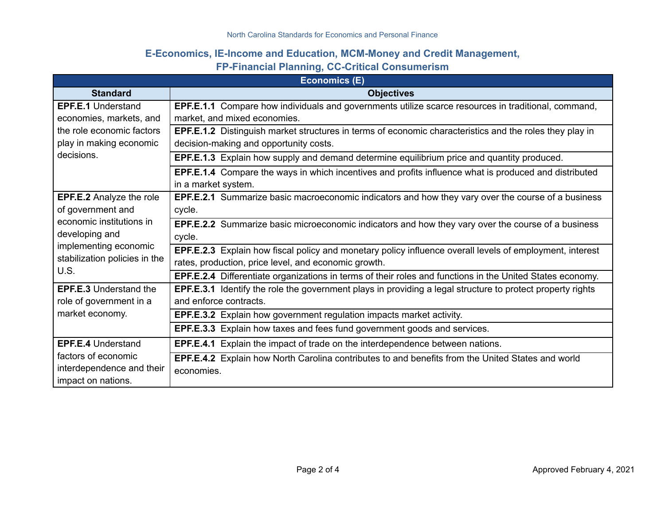## **E-Economics, IE-Income and Education, MCM-Money and Credit Management,**

## **FP-Financial Planning, CC-Critical Consumerism**

| <b>Economics (E)</b>                                                        |                                                                                                                   |  |
|-----------------------------------------------------------------------------|-------------------------------------------------------------------------------------------------------------------|--|
| <b>Standard</b>                                                             | <b>Objectives</b>                                                                                                 |  |
| <b>EPF.E.1 Understand</b>                                                   | EPF.E.1.1 Compare how individuals and governments utilize scarce resources in traditional, command,               |  |
| economies, markets, and                                                     | market, and mixed economies.                                                                                      |  |
| the role economic factors                                                   | EPF.E.1.2 Distinguish market structures in terms of economic characteristics and the roles they play in           |  |
| play in making economic                                                     | decision-making and opportunity costs.                                                                            |  |
| decisions.                                                                  | <b>EPF.E.1.3</b> Explain how supply and demand determine equilibrium price and quantity produced.                 |  |
|                                                                             | EPF.E.1.4 Compare the ways in which incentives and profits influence what is produced and distributed             |  |
|                                                                             | in a market system.                                                                                               |  |
| <b>EPF.E.2 Analyze the role</b>                                             | <b>EPF.E.2.1</b> Summarize basic macroeconomic indicators and how they vary over the course of a business         |  |
| of government and                                                           | cycle.                                                                                                            |  |
| economic institutions in                                                    | EPF.E.2.2 Summarize basic microeconomic indicators and how they vary over the course of a business                |  |
| developing and                                                              | cycle.                                                                                                            |  |
| implementing economic                                                       | EPF.E.2.3 Explain how fiscal policy and monetary policy influence overall levels of employment, interest          |  |
| stabilization policies in the                                               | rates, production, price level, and economic growth.                                                              |  |
| U.S.                                                                        | EPF.E.2.4 Differentiate organizations in terms of their roles and functions in the United States economy.         |  |
| <b>EPF.E.3 Understand the</b><br>role of government in a<br>market economy. | <b>EPF.E.3.1</b> Identify the role the government plays in providing a legal structure to protect property rights |  |
|                                                                             | and enforce contracts.                                                                                            |  |
|                                                                             | <b>EPF.E.3.2</b> Explain how government regulation impacts market activity.                                       |  |
|                                                                             | EPF.E.3.3 Explain how taxes and fees fund government goods and services.                                          |  |
| <b>EPF.E.4 Understand</b>                                                   | <b>EPF.E.4.1</b> Explain the impact of trade on the interdependence between nations.                              |  |
| factors of economic                                                         | <b>EPF.E.4.2</b> Explain how North Carolina contributes to and benefits from the United States and world          |  |
| interdependence and their                                                   | economies.                                                                                                        |  |
| impact on nations.                                                          |                                                                                                                   |  |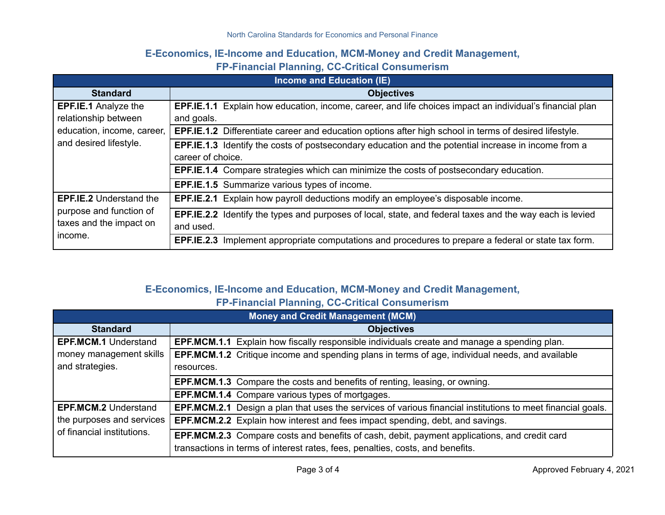## **E-Economics, IE-Income and Education, MCM-Money and Credit Management,**

#### **FP-Financial Planning, CC-Critical Consumerism**

| <b>Income and Education (IE)</b>                                                                            |                                                                                                                 |  |
|-------------------------------------------------------------------------------------------------------------|-----------------------------------------------------------------------------------------------------------------|--|
| <b>Standard</b>                                                                                             | <b>Objectives</b>                                                                                               |  |
| <b>EPF.IE.1 Analyze the</b><br>relationship between<br>education, income, career,<br>and desired lifestyle. | <b>EPF.IE.1.1</b> Explain how education, income, career, and life choices impact an individual's financial plan |  |
|                                                                                                             | and goals.                                                                                                      |  |
|                                                                                                             | <b>EPF.IE.1.2</b> Differentiate career and education options after high school in terms of desired lifestyle.   |  |
|                                                                                                             | <b>EPF.IE.1.3</b> Identify the costs of postsecondary education and the potential increase in income from a     |  |
|                                                                                                             | career of choice.                                                                                               |  |
|                                                                                                             | EPF.IE.1.4 Compare strategies which can minimize the costs of postsecondary education.                          |  |
|                                                                                                             | <b>EPF.IE.1.5</b> Summarize various types of income.                                                            |  |
| <b>EPF.IE.2</b> Understand the<br>purpose and function of<br>taxes and the impact on<br>income.             | EPF.IE.2.1 Explain how payroll deductions modify an employee's disposable income.                               |  |
|                                                                                                             | <b>EPF.IE.2.2</b> Identify the types and purposes of local, state, and federal taxes and the way each is levied |  |
|                                                                                                             | and used.                                                                                                       |  |
|                                                                                                             | EPF.IE.2.3 Implement appropriate computations and procedures to prepare a federal or state tax form.            |  |

# **E-Economics, IE-Income and Education, MCM-Money and Credit Management,**

**FP-Financial Planning, CC-Critical Consumerism**

| <b>Money and Credit Management (MCM)</b>                |                                                                                                                                                                                |  |
|---------------------------------------------------------|--------------------------------------------------------------------------------------------------------------------------------------------------------------------------------|--|
| <b>Standard</b>                                         | <b>Objectives</b>                                                                                                                                                              |  |
| <b>EPF.MCM.1 Understand</b>                             | <b>EPF.MCM.1.1</b> Explain how fiscally responsible individuals create and manage a spending plan.                                                                             |  |
| money management skills                                 | <b>EPF.MCM.1.2</b> Critique income and spending plans in terms of age, individual needs, and available                                                                         |  |
| and strategies.                                         | resources.                                                                                                                                                                     |  |
|                                                         | <b>EPF.MCM.1.3</b> Compare the costs and benefits of renting, leasing, or owning.                                                                                              |  |
|                                                         | <b>EPF.MCM.1.4</b> Compare various types of mortgages.                                                                                                                         |  |
| <b>EPF.MCM.2 Understand</b>                             | <b>EPF.MCM.2.1</b> Design a plan that uses the services of various financial institutions to meet financial goals.                                                             |  |
| the purposes and services<br>of financial institutions. | <b>EPF.MCM.2.2</b> Explain how interest and fees impact spending, debt, and savings.                                                                                           |  |
|                                                         | EPF.MCM.2.3 Compare costs and benefits of cash, debit, payment applications, and credit card<br>transactions in terms of interest rates, fees, penalties, costs, and benefits. |  |